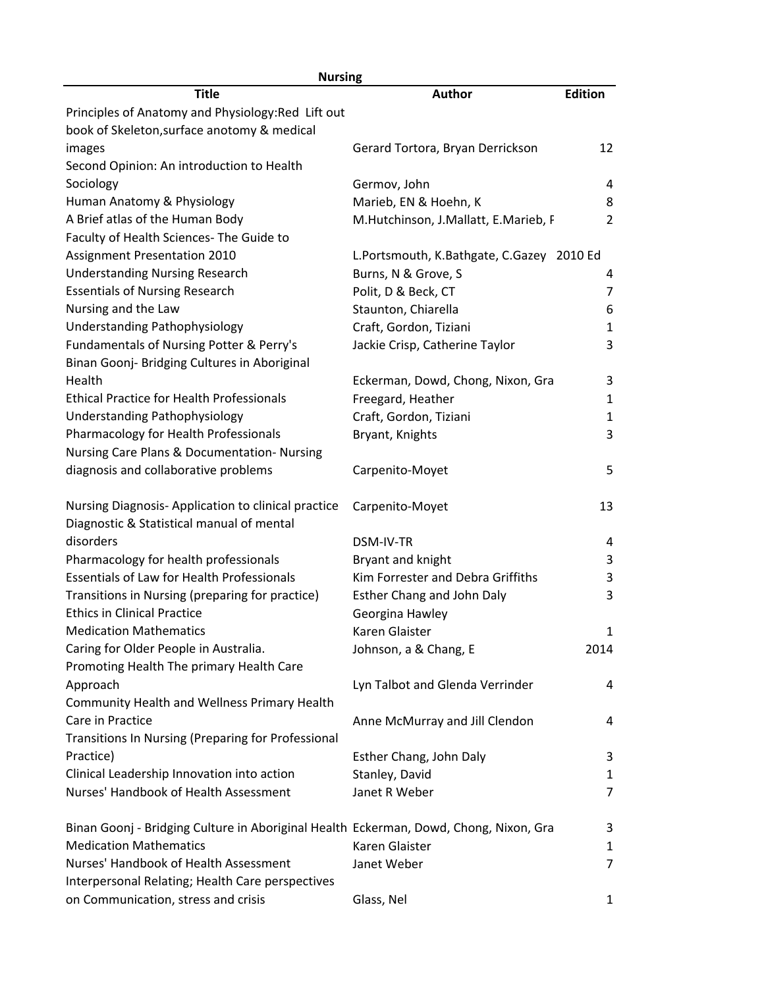| <b>Nursing</b>                                                                        |                                           |                |  |
|---------------------------------------------------------------------------------------|-------------------------------------------|----------------|--|
| Title                                                                                 | <b>Author</b>                             | <b>Edition</b> |  |
| Principles of Anatomy and Physiology: Red Lift out                                    |                                           |                |  |
| book of Skeleton, surface anotomy & medical                                           |                                           |                |  |
| images                                                                                | Gerard Tortora, Bryan Derrickson          | 12             |  |
| Second Opinion: An introduction to Health                                             |                                           |                |  |
| Sociology                                                                             | Germov, John                              | 4              |  |
| Human Anatomy & Physiology                                                            | Marieb, EN & Hoehn, K                     | 8              |  |
| A Brief atlas of the Human Body                                                       | M.Hutchinson, J.Mallatt, E.Marieb, F      | 2              |  |
| Faculty of Health Sciences- The Guide to                                              |                                           |                |  |
| <b>Assignment Presentation 2010</b>                                                   | L.Portsmouth, K.Bathgate, C.Gazey 2010 Ed |                |  |
| <b>Understanding Nursing Research</b>                                                 | Burns, N & Grove, S                       | 4              |  |
| <b>Essentials of Nursing Research</b>                                                 | Polit, D & Beck, CT                       | 7              |  |
| Nursing and the Law                                                                   | Staunton, Chiarella                       | 6              |  |
| Understanding Pathophysiology                                                         | Craft, Gordon, Tiziani                    | 1              |  |
| Fundamentals of Nursing Potter & Perry's                                              | Jackie Crisp, Catherine Taylor            | 3              |  |
| Binan Goonj- Bridging Cultures in Aboriginal                                          |                                           |                |  |
| Health                                                                                | Eckerman, Dowd, Chong, Nixon, Gra         | 3              |  |
| <b>Ethical Practice for Health Professionals</b>                                      | Freegard, Heather                         | $\mathbf{1}$   |  |
| Understanding Pathophysiology                                                         | Craft, Gordon, Tiziani                    | 1              |  |
| Pharmacology for Health Professionals                                                 | Bryant, Knights                           | 3              |  |
| Nursing Care Plans & Documentation- Nursing                                           |                                           |                |  |
| diagnosis and collaborative problems                                                  | Carpenito-Moyet                           | 5              |  |
|                                                                                       |                                           |                |  |
| Nursing Diagnosis-Application to clinical practice                                    | Carpenito-Moyet                           | 13             |  |
| Diagnostic & Statistical manual of mental                                             |                                           |                |  |
| disorders                                                                             | DSM-IV-TR                                 | 4              |  |
| Pharmacology for health professionals                                                 | Bryant and knight                         | 3              |  |
| <b>Essentials of Law for Health Professionals</b>                                     | Kim Forrester and Debra Griffiths         | 3              |  |
| Transitions in Nursing (preparing for practice)                                       | Esther Chang and John Daly                | 3              |  |
| <b>Ethics in Clinical Practice</b>                                                    | Georgina Hawley                           |                |  |
| <b>Medication Mathematics</b>                                                         | Karen Glaister                            | $\mathbf{1}$   |  |
| Caring for Older People in Australia.                                                 | Johnson, a & Chang, E                     | 2014           |  |
| Promoting Health The primary Health Care                                              |                                           |                |  |
| Approach                                                                              | Lyn Talbot and Glenda Verrinder           | 4              |  |
| Community Health and Wellness Primary Health                                          |                                           |                |  |
| Care in Practice                                                                      | Anne McMurray and Jill Clendon            | 4              |  |
| Transitions In Nursing (Preparing for Professional                                    |                                           |                |  |
| Practice)                                                                             | Esther Chang, John Daly                   | 3              |  |
| Clinical Leadership Innovation into action                                            | Stanley, David                            | 1              |  |
| Nurses' Handbook of Health Assessment                                                 | Janet R Weber                             | $\overline{7}$ |  |
|                                                                                       |                                           |                |  |
| Binan Goonj - Bridging Culture in Aboriginal Health Eckerman, Dowd, Chong, Nixon, Gra |                                           | 3              |  |
| <b>Medication Mathematics</b>                                                         | Karen Glaister                            | 1              |  |
| Nurses' Handbook of Health Assessment                                                 | Janet Weber                               | $\overline{7}$ |  |
| Interpersonal Relating; Health Care perspectives                                      |                                           |                |  |
| on Communication, stress and crisis                                                   | Glass, Nel                                | 1              |  |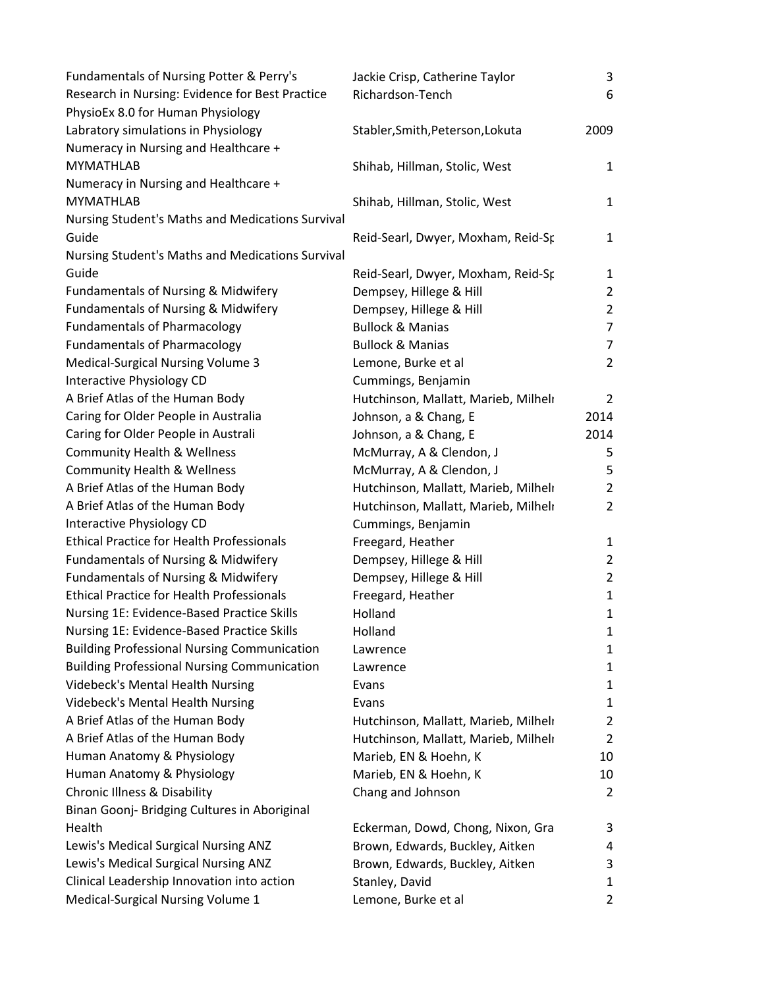| Fundamentals of Nursing Potter & Perry's           | Jackie Crisp, Catherine Taylor       | 3              |
|----------------------------------------------------|--------------------------------------|----------------|
| Research in Nursing: Evidence for Best Practice    | Richardson-Tench                     | 6              |
| PhysioEx 8.0 for Human Physiology                  |                                      |                |
| Labratory simulations in Physiology                | Stabler, Smith, Peterson, Lokuta     | 2009           |
| Numeracy in Nursing and Healthcare +               |                                      |                |
| <b>MYMATHLAB</b>                                   | Shihab, Hillman, Stolic, West        | $\mathbf{1}$   |
| Numeracy in Nursing and Healthcare +               |                                      |                |
| <b>MYMATHLAB</b>                                   | Shihab, Hillman, Stolic, West        | $\mathbf{1}$   |
| Nursing Student's Maths and Medications Survival   |                                      |                |
| Guide                                              | Reid-Searl, Dwyer, Moxham, Reid-Sp   | $\mathbf{1}$   |
| Nursing Student's Maths and Medications Survival   |                                      |                |
| Guide                                              | Reid-Searl, Dwyer, Moxham, Reid-Sp   | 1              |
| Fundamentals of Nursing & Midwifery                | Dempsey, Hillege & Hill              | $\overline{2}$ |
| Fundamentals of Nursing & Midwifery                | Dempsey, Hillege & Hill              | $\overline{2}$ |
| <b>Fundamentals of Pharmacology</b>                | <b>Bullock &amp; Manias</b>          | $\overline{7}$ |
| <b>Fundamentals of Pharmacology</b>                | <b>Bullock &amp; Manias</b>          | 7              |
| <b>Medical-Surgical Nursing Volume 3</b>           | Lemone, Burke et al                  | $\overline{2}$ |
| Interactive Physiology CD                          | Cummings, Benjamin                   |                |
| A Brief Atlas of the Human Body                    | Hutchinson, Mallatt, Marieb, Milhelı | $\overline{2}$ |
| Caring for Older People in Australia               | Johnson, a & Chang, E                | 2014           |
| Caring for Older People in Australi                | Johnson, a & Chang, E                | 2014           |
| <b>Community Health &amp; Wellness</b>             | McMurray, A & Clendon, J             | 5              |
| <b>Community Health &amp; Wellness</b>             | McMurray, A & Clendon, J             | 5              |
| A Brief Atlas of the Human Body                    | Hutchinson, Mallatt, Marieb, Milheli | $\overline{2}$ |
| A Brief Atlas of the Human Body                    | Hutchinson, Mallatt, Marieb, Milheli | $\overline{2}$ |
| Interactive Physiology CD                          | Cummings, Benjamin                   |                |
| <b>Ethical Practice for Health Professionals</b>   | Freegard, Heather                    | $\mathbf{1}$   |
| <b>Fundamentals of Nursing &amp; Midwifery</b>     | Dempsey, Hillege & Hill              | $\overline{2}$ |
| <b>Fundamentals of Nursing &amp; Midwifery</b>     | Dempsey, Hillege & Hill              | $\overline{2}$ |
| <b>Ethical Practice for Health Professionals</b>   | Freegard, Heather                    | $\mathbf{1}$   |
| Nursing 1E: Evidence-Based Practice Skills         | Holland                              | $\mathbf{1}$   |
| Nursing 1E: Evidence-Based Practice Skills         | Holland                              | 1              |
| <b>Building Professional Nursing Communication</b> | Lawrence                             | 1              |
| <b>Building Professional Nursing Communication</b> | Lawrence                             | $\mathbf{1}$   |
| <b>Videbeck's Mental Health Nursing</b>            | Evans                                | $\mathbf{1}$   |
| <b>Videbeck's Mental Health Nursing</b>            | Evans                                | $\mathbf{1}$   |
| A Brief Atlas of the Human Body                    | Hutchinson, Mallatt, Marieb, Milheli | $\overline{2}$ |
| A Brief Atlas of the Human Body                    | Hutchinson, Mallatt, Marieb, Milheli | $\overline{2}$ |
| Human Anatomy & Physiology                         | Marieb, EN & Hoehn, K                | 10             |
| Human Anatomy & Physiology                         | Marieb, EN & Hoehn, K                | 10             |
| Chronic Illness & Disability                       | Chang and Johnson                    | $\overline{2}$ |
| Binan Goonj- Bridging Cultures in Aboriginal       |                                      |                |
| Health                                             | Eckerman, Dowd, Chong, Nixon, Gra    | 3              |
| Lewis's Medical Surgical Nursing ANZ               | Brown, Edwards, Buckley, Aitken      | 4              |
| Lewis's Medical Surgical Nursing ANZ               | Brown, Edwards, Buckley, Aitken      | 3              |
| Clinical Leadership Innovation into action         | Stanley, David                       | 1              |
| Medical-Surgical Nursing Volume 1                  | Lemone, Burke et al                  | $\overline{2}$ |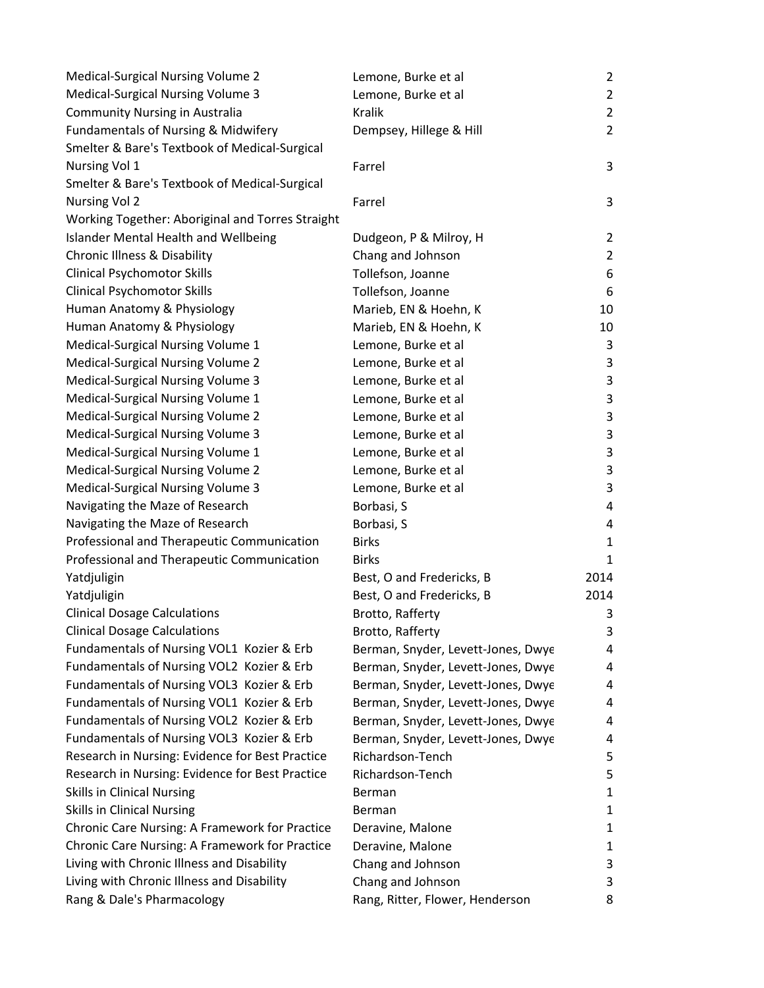| Medical-Surgical Nursing Volume 2                | Lemone, Burke et al                | $\overline{2}$ |
|--------------------------------------------------|------------------------------------|----------------|
| Medical-Surgical Nursing Volume 3                | Lemone, Burke et al                | $\overline{2}$ |
| <b>Community Nursing in Australia</b>            | <b>Kralik</b>                      | $\overline{2}$ |
| Fundamentals of Nursing & Midwifery              | Dempsey, Hillege & Hill            | $\overline{2}$ |
| Smelter & Bare's Textbook of Medical-Surgical    |                                    |                |
| Nursing Vol 1                                    | Farrel                             | 3              |
| Smelter & Bare's Textbook of Medical-Surgical    |                                    |                |
| Nursing Vol 2                                    | Farrel                             | 3              |
| Working Together: Aboriginal and Torres Straight |                                    |                |
| <b>Islander Mental Health and Wellbeing</b>      | Dudgeon, P & Milroy, H             | $\overline{2}$ |
| <b>Chronic Illness &amp; Disability</b>          | Chang and Johnson                  | $\overline{2}$ |
| <b>Clinical Psychomotor Skills</b>               | Tollefson, Joanne                  | 6              |
| <b>Clinical Psychomotor Skills</b>               | Tollefson, Joanne                  | 6              |
| Human Anatomy & Physiology                       | Marieb, EN & Hoehn, K              | 10             |
| Human Anatomy & Physiology                       | Marieb, EN & Hoehn, K              | 10             |
| Medical-Surgical Nursing Volume 1                | Lemone, Burke et al                | 3              |
| Medical-Surgical Nursing Volume 2                | Lemone, Burke et al                | 3              |
| Medical-Surgical Nursing Volume 3                | Lemone, Burke et al                | 3              |
| Medical-Surgical Nursing Volume 1                | Lemone, Burke et al                | 3              |
| Medical-Surgical Nursing Volume 2                | Lemone, Burke et al                | 3              |
| Medical-Surgical Nursing Volume 3                | Lemone, Burke et al                | 3              |
| Medical-Surgical Nursing Volume 1                | Lemone, Burke et al                | 3              |
| Medical-Surgical Nursing Volume 2                | Lemone, Burke et al                | 3              |
| Medical-Surgical Nursing Volume 3                | Lemone, Burke et al                | 3              |
| Navigating the Maze of Research                  | Borbasi, S                         | 4              |
| Navigating the Maze of Research                  | Borbasi, S                         | 4              |
| Professional and Therapeutic Communication       | <b>Birks</b>                       | $\mathbf{1}$   |
| Professional and Therapeutic Communication       | <b>Birks</b>                       | 1              |
| Yatdjuligin                                      | Best, O and Fredericks, B          | 2014           |
| Yatdjuligin                                      | Best, O and Fredericks, B          | 2014           |
| <b>Clinical Dosage Calculations</b>              | Brotto, Rafferty                   | 3              |
| <b>Clinical Dosage Calculations</b>              | Brotto, Rafferty                   | 3              |
| Fundamentals of Nursing VOL1 Kozier & Erb        | Berman, Snyder, Levett-Jones, Dwye | 4              |
| Fundamentals of Nursing VOL2 Kozier & Erb        | Berman, Snyder, Levett-Jones, Dwye | 4              |
| Fundamentals of Nursing VOL3 Kozier & Erb        | Berman, Snyder, Levett-Jones, Dwye | 4              |
| Fundamentals of Nursing VOL1 Kozier & Erb        | Berman, Snyder, Levett-Jones, Dwye | 4              |
| Fundamentals of Nursing VOL2 Kozier & Erb        | Berman, Snyder, Levett-Jones, Dwye | 4              |
| Fundamentals of Nursing VOL3 Kozier & Erb        | Berman, Snyder, Levett-Jones, Dwye | 4              |
| Research in Nursing: Evidence for Best Practice  | Richardson-Tench                   | 5              |
| Research in Nursing: Evidence for Best Practice  | Richardson-Tench                   | 5              |
| <b>Skills in Clinical Nursing</b>                | Berman                             | 1              |
| <b>Skills in Clinical Nursing</b>                | Berman                             | 1              |
| Chronic Care Nursing: A Framework for Practice   | Deravine, Malone                   | 1              |
| Chronic Care Nursing: A Framework for Practice   | Deravine, Malone                   | 1              |
| Living with Chronic Illness and Disability       | Chang and Johnson                  | 3              |
| Living with Chronic Illness and Disability       | Chang and Johnson                  | 3              |
| Rang & Dale's Pharmacology                       | Rang, Ritter, Flower, Henderson    | 8              |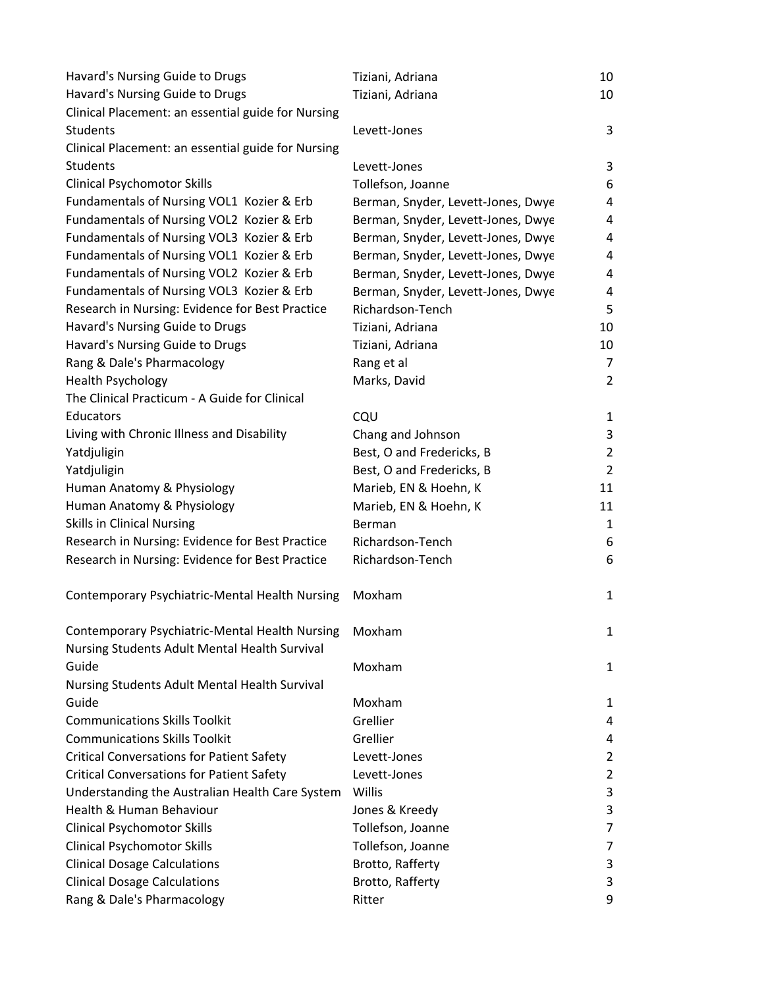| Havard's Nursing Guide to Drugs                       | Tiziani, Adriana                   | 10             |
|-------------------------------------------------------|------------------------------------|----------------|
| Havard's Nursing Guide to Drugs                       | Tiziani, Adriana                   | 10             |
| Clinical Placement: an essential guide for Nursing    |                                    |                |
| Students                                              | Levett-Jones                       | 3              |
| Clinical Placement: an essential guide for Nursing    |                                    |                |
| Students                                              | Levett-Jones                       | 3              |
| <b>Clinical Psychomotor Skills</b>                    | Tollefson, Joanne                  | 6              |
| Fundamentals of Nursing VOL1 Kozier & Erb             | Berman, Snyder, Levett-Jones, Dwye | 4              |
| Fundamentals of Nursing VOL2 Kozier & Erb             | Berman, Snyder, Levett-Jones, Dwye | 4              |
| Fundamentals of Nursing VOL3 Kozier & Erb             | Berman, Snyder, Levett-Jones, Dwye | 4              |
| Fundamentals of Nursing VOL1 Kozier & Erb             | Berman, Snyder, Levett-Jones, Dwye | 4              |
| Fundamentals of Nursing VOL2 Kozier & Erb             | Berman, Snyder, Levett-Jones, Dwye | 4              |
| Fundamentals of Nursing VOL3 Kozier & Erb             | Berman, Snyder, Levett-Jones, Dwye | 4              |
| Research in Nursing: Evidence for Best Practice       | Richardson-Tench                   | 5              |
| Havard's Nursing Guide to Drugs                       | Tiziani, Adriana                   | 10             |
| Havard's Nursing Guide to Drugs                       | Tiziani, Adriana                   | 10             |
| Rang & Dale's Pharmacology                            | Rang et al                         | 7              |
| <b>Health Psychology</b>                              | Marks, David                       | $\overline{2}$ |
| The Clinical Practicum - A Guide for Clinical         |                                    |                |
| Educators                                             | CQU                                | 1              |
| Living with Chronic Illness and Disability            | Chang and Johnson                  | 3              |
| Yatdjuligin                                           | Best, O and Fredericks, B          | $\overline{2}$ |
| Yatdjuligin                                           | Best, O and Fredericks, B          | $\overline{2}$ |
| Human Anatomy & Physiology                            | Marieb, EN & Hoehn, K              | 11             |
| Human Anatomy & Physiology                            | Marieb, EN & Hoehn, K              | 11             |
| <b>Skills in Clinical Nursing</b>                     | Berman                             | $\mathbf{1}$   |
| Research in Nursing: Evidence for Best Practice       | Richardson-Tench                   | 6              |
| Research in Nursing: Evidence for Best Practice       | Richardson-Tench                   | 6              |
| <b>Contemporary Psychiatric-Mental Health Nursing</b> | Moxham                             | $\mathbf{1}$   |
| Contemporary Psychiatric-Mental Health Nursing        | Moxham                             | 1              |
| Nursing Students Adult Mental Health Survival         |                                    |                |
| Guide                                                 | Moxham                             | $\mathbf{1}$   |
| Nursing Students Adult Mental Health Survival         |                                    |                |
| Guide                                                 | Moxham                             | 1              |
| <b>Communications Skills Toolkit</b>                  | Grellier                           | 4              |
| <b>Communications Skills Toolkit</b>                  | Grellier                           | 4              |
| <b>Critical Conversations for Patient Safety</b>      | Levett-Jones                       | $\overline{2}$ |
| <b>Critical Conversations for Patient Safety</b>      | Levett-Jones                       | $\overline{2}$ |
| Understanding the Australian Health Care System       | Willis                             | 3              |
| Health & Human Behaviour                              | Jones & Kreedy                     | 3              |
| <b>Clinical Psychomotor Skills</b>                    | Tollefson, Joanne                  | 7              |
| <b>Clinical Psychomotor Skills</b>                    | Tollefson, Joanne                  | 7              |
| <b>Clinical Dosage Calculations</b>                   | Brotto, Rafferty                   | 3              |
| <b>Clinical Dosage Calculations</b>                   | Brotto, Rafferty                   | 3              |
| Rang & Dale's Pharmacology                            | Ritter                             | 9              |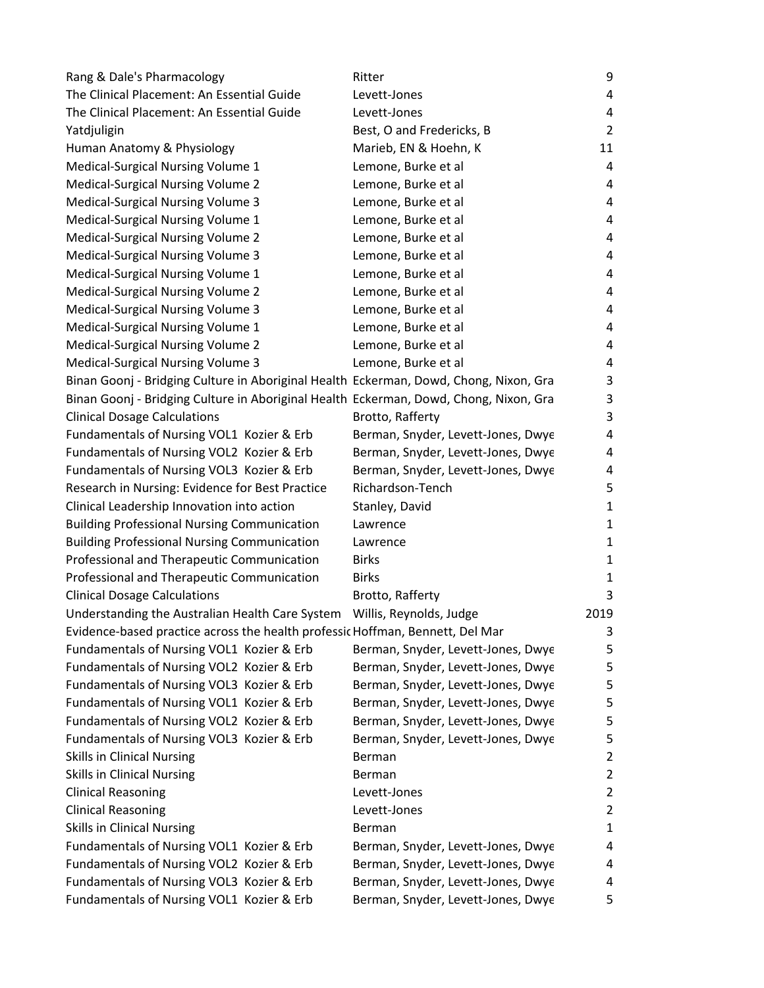| Rang & Dale's Pharmacology                                                            | Ritter                             | 9              |
|---------------------------------------------------------------------------------------|------------------------------------|----------------|
| The Clinical Placement: An Essential Guide                                            | Levett-Jones                       | 4              |
| The Clinical Placement: An Essential Guide                                            | Levett-Jones                       | 4              |
| Yatdjuligin                                                                           | Best, O and Fredericks, B          | 2              |
| Human Anatomy & Physiology                                                            | Marieb, EN & Hoehn, K              | 11             |
| Medical-Surgical Nursing Volume 1                                                     | Lemone, Burke et al                | 4              |
| Medical-Surgical Nursing Volume 2                                                     | Lemone, Burke et al                | 4              |
| Medical-Surgical Nursing Volume 3                                                     | Lemone, Burke et al                | 4              |
| Medical-Surgical Nursing Volume 1                                                     | Lemone, Burke et al                | 4              |
| Medical-Surgical Nursing Volume 2                                                     | Lemone, Burke et al                | 4              |
| Medical-Surgical Nursing Volume 3                                                     | Lemone, Burke et al                | 4              |
| Medical-Surgical Nursing Volume 1                                                     | Lemone, Burke et al                | 4              |
| Medical-Surgical Nursing Volume 2                                                     | Lemone, Burke et al                | 4              |
| Medical-Surgical Nursing Volume 3                                                     | Lemone, Burke et al                | 4              |
| Medical-Surgical Nursing Volume 1                                                     | Lemone, Burke et al                | 4              |
| Medical-Surgical Nursing Volume 2                                                     | Lemone, Burke et al                | 4              |
| Medical-Surgical Nursing Volume 3                                                     | Lemone, Burke et al                | 4              |
| Binan Goonj - Bridging Culture in Aboriginal Health Eckerman, Dowd, Chong, Nixon, Gra |                                    | 3              |
| Binan Goonj - Bridging Culture in Aboriginal Health Eckerman, Dowd, Chong, Nixon, Gra |                                    | 3              |
| <b>Clinical Dosage Calculations</b>                                                   | Brotto, Rafferty                   | 3              |
| Fundamentals of Nursing VOL1 Kozier & Erb                                             | Berman, Snyder, Levett-Jones, Dwye | 4              |
| Fundamentals of Nursing VOL2 Kozier & Erb                                             | Berman, Snyder, Levett-Jones, Dwye | 4              |
| Fundamentals of Nursing VOL3 Kozier & Erb                                             | Berman, Snyder, Levett-Jones, Dwye | 4              |
| Research in Nursing: Evidence for Best Practice                                       | Richardson-Tench                   | 5              |
| Clinical Leadership Innovation into action                                            | Stanley, David                     | 1              |
| <b>Building Professional Nursing Communication</b>                                    | Lawrence                           | 1              |
| <b>Building Professional Nursing Communication</b>                                    | Lawrence                           | 1              |
| Professional and Therapeutic Communication                                            | <b>Birks</b>                       | 1              |
| Professional and Therapeutic Communication                                            | <b>Birks</b>                       | 1              |
| <b>Clinical Dosage Calculations</b>                                                   | Brotto, Rafferty                   | 3              |
| Understanding the Australian Health Care System                                       | Willis, Reynolds, Judge            | 2019           |
| Evidence-based practice across the health professic Hoffman, Bennett, Del Mar         |                                    | 3              |
| Fundamentals of Nursing VOL1 Kozier & Erb                                             | Berman, Snyder, Levett-Jones, Dwye | 5              |
| Fundamentals of Nursing VOL2 Kozier & Erb                                             | Berman, Snyder, Levett-Jones, Dwye | 5              |
| Fundamentals of Nursing VOL3 Kozier & Erb                                             | Berman, Snyder, Levett-Jones, Dwye | 5              |
| Fundamentals of Nursing VOL1 Kozier & Erb                                             | Berman, Snyder, Levett-Jones, Dwye | 5              |
| Fundamentals of Nursing VOL2 Kozier & Erb                                             | Berman, Snyder, Levett-Jones, Dwye | 5              |
| Fundamentals of Nursing VOL3 Kozier & Erb                                             | Berman, Snyder, Levett-Jones, Dwye | 5              |
| <b>Skills in Clinical Nursing</b>                                                     | Berman                             | $\overline{2}$ |
| <b>Skills in Clinical Nursing</b>                                                     | Berman                             | $\overline{2}$ |
| <b>Clinical Reasoning</b>                                                             | Levett-Jones                       | $\overline{2}$ |
| <b>Clinical Reasoning</b>                                                             | Levett-Jones                       | $\overline{2}$ |
| <b>Skills in Clinical Nursing</b>                                                     | Berman                             | 1              |
| Fundamentals of Nursing VOL1 Kozier & Erb                                             | Berman, Snyder, Levett-Jones, Dwye | 4              |
| Fundamentals of Nursing VOL2 Kozier & Erb                                             | Berman, Snyder, Levett-Jones, Dwye | 4              |
| Fundamentals of Nursing VOL3 Kozier & Erb                                             | Berman, Snyder, Levett-Jones, Dwye | 4              |
| Fundamentals of Nursing VOL1 Kozier & Erb                                             | Berman, Snyder, Levett-Jones, Dwye | 5              |